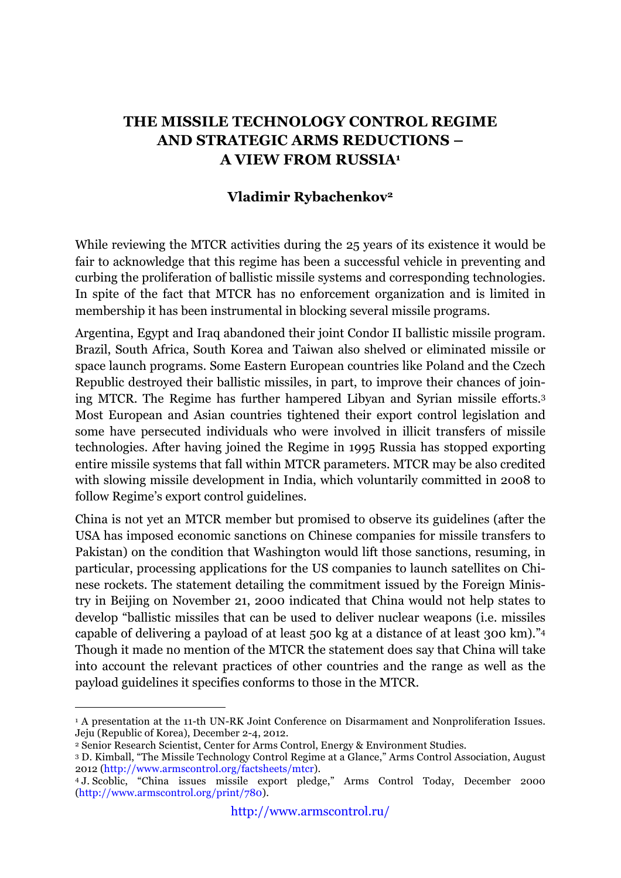## **THE MISSILE TECHNOLOGY CONTROL REGIME AND STRATEGIC ARMS REDUCTIONS – A VIEW FROM RUSSIA1**

## **Vladimir Rybachenkov2**

While reviewing the MTCR activities during the 25 years of its existence it would be fair to acknowledge that this regime has been a successful vehicle in preventing and curbing the proliferation of ballistic missile systems and corresponding technologies. In spite of the fact that MTCR has no enforcement organization and is limited in membership it has been instrumental in blocking several missile programs.

Argentina, Egypt and Iraq abandoned their joint Condor II ballistic missile program. Brazil, South Africa, South Korea and Taiwan also shelved or eliminated missile or space launch programs. Some Eastern European countries like Poland and the Czech Republic destroyed their ballistic missiles, in part, to improve their chances of joining MTCR. The Regime has further hampered Libyan and Syrian missile efforts.3 Most European and Asian countries tightened their export control legislation and some have persecuted individuals who were involved in illicit transfers of missile technologies. After having joined the Regime in 1995 Russia has stopped exporting entire missile systems that fall within MTCR parameters. MTCR may be also credited with slowing missile development in India, which voluntarily committed in 2008 to follow Regime's export control guidelines.

China is not yet an MTCR member but promised to observe its guidelines (after the USA has imposed economic sanctions on Chinese companies for missile transfers to Pakistan) on the condition that Washington would lift those sanctions, resuming, in particular, processing applications for the US companies to launch satellites on Chinese rockets. The statement detailing the commitment issued by the Foreign Ministry in Beijing on November 21, 2000 indicated that China would not help states to develop "ballistic missiles that can be used to deliver nuclear weapons (i.e. missiles capable of delivering a payload of at least 500 kg at a distance of at least 300 km)."4 Though it made no mention of the MTCR the statement does say that China will take into account the relevant practices of other countries and the range as well as the payload guidelines it specifies conforms to those in the MTCR.

<sup>&</sup>lt;sup>1</sup> A presentation at the 11-th UN-RK Joint Conference on Disarmament and Nonproliferation Issues. Jeju (Republic of Korea), December 2-4, 2012.

<sup>2</sup> Senior Research Scientist, Center for Arms Control, Energy & Environment Studies.

<sup>3</sup> D. Kimball, "The Missile Technology Control Regime at a Glance," Arms Control Association, August 2012 ([http://www.armscontrol.org/factsheets/mtcr\).](http://www.armscontrol.org/factsheets/mtcr)

<sup>4</sup> J. Scoblic, "China issues missile export pledge," Arms Control Today, December 2000 ([http://www.armscontrol.org/print/780\).](http://www.armscontrol.org/print/780)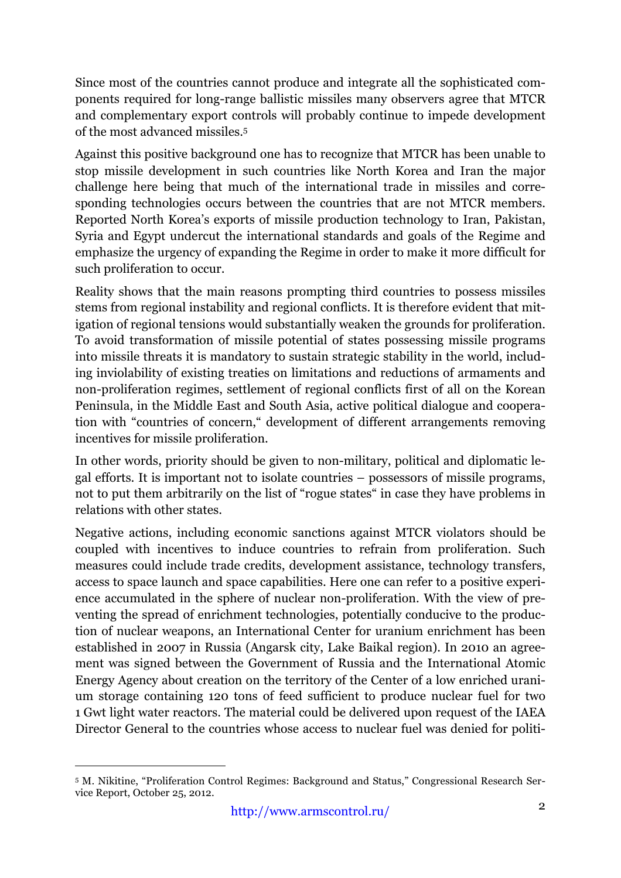Since most of the countries cannot produce and integrate all the sophisticated components required for long-range ballistic missiles many observers agree that MTCR and complementary export controls will probably continue to impede development of the most advanced missiles.5

Against this positive background one has to recognize that MTCR has been unable to stop missile development in such countries like North Korea and Iran the major challenge here being that much of the international trade in missiles and corresponding technologies occurs between the countries that are not MTCR members. Reported North Korea's exports of missile production technology to Iran, Pakistan, Syria and Egypt undercut the international standards and goals of the Regime and emphasize the urgency of expanding the Regime in order to make it more difficult for such proliferation to occur.

Reality shows that the main reasons prompting third countries to possess missiles stems from regional instability and regional conflicts. It is therefore evident that mitigation of regional tensions would substantially weaken the grounds for proliferation. To avoid transformation of missile potential of states possessing missile programs into missile threats it is mandatory to sustain strategic stability in the world, including inviolability of existing treaties on limitations and reductions of armaments and non-proliferation regimes, settlement of regional conflicts first of all on the Korean Peninsula, in the Middle East and South Asia, active political dialogue and cooperation with "countries of concern," development of different arrangements removing incentives for missile proliferation.

In other words, priority should be given to non-military, political and diplomatic legal efforts. It is important not to isolate countries – possessors of missile programs, not to put them arbitrarily on the list of "rogue states" in case they have problems in relations with other states.

Negative actions, including economic sanctions against MTCR violators should be coupled with incentives to induce countries to refrain from proliferation. Such measures could include trade credits, development assistance, technology transfers, access to space launch and space capabilities. Here one can refer to a positive experience accumulated in the sphere of nuclear non-proliferation. With the view of preventing the spread of enrichment technologies, potentially conducive to the production of nuclear weapons, an International Center for uranium enrichment has been established in 2007 in Russia (Angarsk city, Lake Baikal region). In 2010 an agreement was signed between the Government of Russia and the International Atomic Energy Agency about creation on the territory of the Center of a low enriched uranium storage containing 120 tons of feed sufficient to produce nuclear fuel for two 1 Gwt light water reactors. The material could be delivered upon request of the IAEA Director General to the countries whose access to nuclear fuel was denied for politi-

 <sup>5</sup> M. Nikitine, "Proliferation Control Regimes: Background and Status," Congressional Research Service Report, October 25, 2012.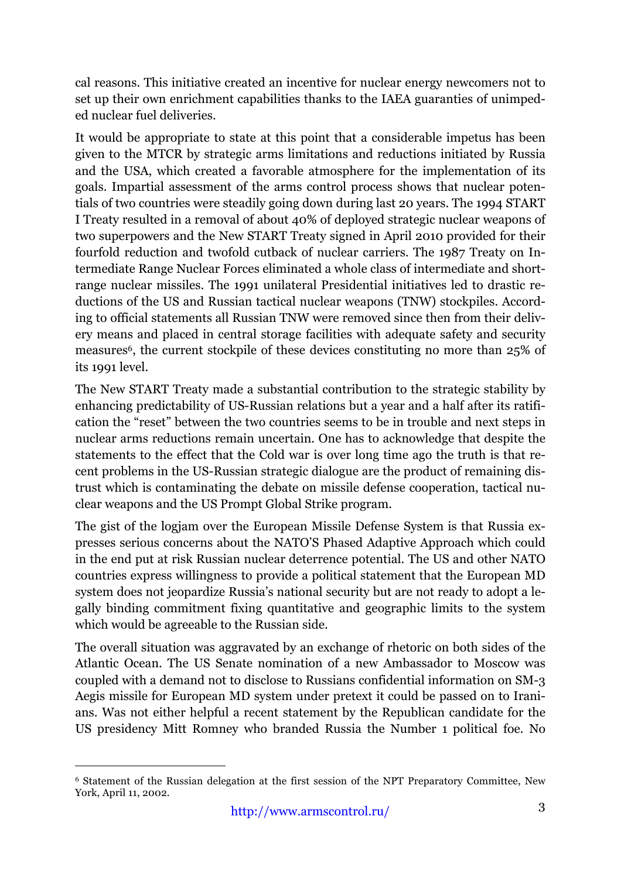cal reasons. This initiative created an incentive for nuclear energy newcomers not to set up their own enrichment capabilities thanks to the IAEA guaranties of unimpeded nuclear fuel deliveries.

It would be appropriate to state at this point that a considerable impetus has been given to the MTCR by strategic arms limitations and reductions initiated by Russia and the USA, which created a favorable atmosphere for the implementation of its goals. Impartial assessment of the arms control process shows that nuclear potentials of two countries were steadily going down during last 20 years. The 1994 START I Treaty resulted in a removal of about 40% of deployed strategic nuclear weapons of two superpowers and the New START Treaty signed in April 2010 provided for their fourfold reduction and twofold cutback of nuclear carriers. The 1987 Treaty on Intermediate Range Nuclear Forces eliminated a whole class of intermediate and shortrange nuclear missiles. The 1991 unilateral Presidential initiatives led to drastic reductions of the US and Russian tactical nuclear weapons (TNW) stockpiles. According to official statements all Russian TNW were removed since then from their delivery means and placed in central storage facilities with adequate safety and security measures6, the current stockpile of these devices constituting no more than 25% of its 1991 level.

The New START Treaty made a substantial contribution to the strategic stability by enhancing predictability of US-Russian relations but a year and a half after its ratification the "reset" between the two countries seems to be in trouble and next steps in nuclear arms reductions remain uncertain. One has to acknowledge that despite the statements to the effect that the Cold war is over long time ago the truth is that recent problems in the US-Russian strategic dialogue are the product of remaining distrust which is contaminating the debate on missile defense cooperation, tactical nuclear weapons and the US Prompt Global Strike program.

The gist of the logjam over the European Missile Defense System is that Russia expresses serious concerns about the NATO'S Phased Adaptive Approach which could in the end put at risk Russian nuclear deterrence potential. The US and other NATO countries express willingness to provide a political statement that the European MD system does not jeopardize Russia's national security but are not ready to adopt a legally binding commitment fixing quantitative and geographic limits to the system which would be agreeable to the Russian side.

The overall situation was aggravated by an exchange of rhetoric on both sides of the Atlantic Ocean. The US Senate nomination of a new Ambassador to Moscow was coupled with a demand not to disclose to Russians confidential information on SM-3 Aegis missile for European MD system under pretext it could be passed on to Iranians. Was not either helpful a recent statement by the Republican candidate for the US presidency Mitt Romney who branded Russia the Number 1 political foe. No

 <sup>6</sup> Statement of the Russian delegation at the first session of the NPT Preparatory Committee, New York, April 11, 2002.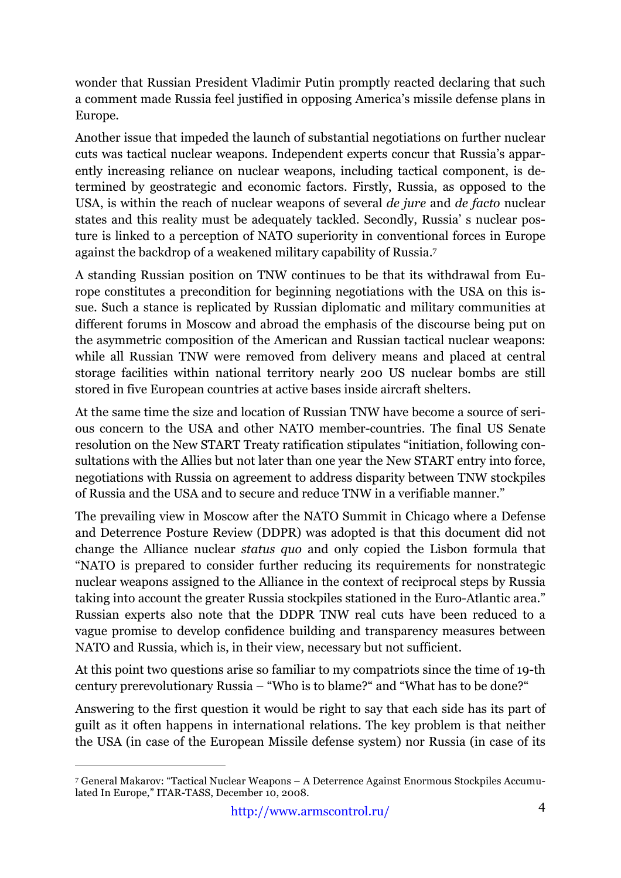wonder that Russian President Vladimir Putin promptly reacted declaring that such a comment made Russia feel justified in opposing America's missile defense plans in Europe.

Another issue that impeded the launch of substantial negotiations on further nuclear cuts was tactical nuclear weapons. Independent experts concur that Russia's apparently increasing reliance on nuclear weapons, including tactical component, is determined by geostrategic and economic factors. Firstly, Russia, as opposed to the USA, is within the reach of nuclear weapons of several *de jure* and *de facto* nuclear states and this reality must be adequately tackled. Secondly, Russia' s nuclear posture is linked to a perception of NATO superiority in conventional forces in Europe against the backdrop of a weakened military capability of Russia.7

A standing Russian position on TNW continues to be that its withdrawal from Europe constitutes a precondition for beginning negotiations with the USA on this issue. Such a stance is replicated by Russian diplomatic and military communities at different forums in Moscow and abroad the emphasis of the discourse being put on the asymmetric composition of the American and Russian tactical nuclear weapons: while all Russian TNW were removed from delivery means and placed at central storage facilities within national territory nearly 200 US nuclear bombs are still stored in five European countries at active bases inside aircraft shelters.

At the same time the size and location of Russian TNW have become a source of serious concern to the USA and other NATO member-countries. The final US Senate resolution on the New START Treaty ratification stipulates "initiation, following consultations with the Allies but not later than one year the New START entry into force, negotiations with Russia on agreement to address disparity between TNW stockpiles of Russia and the USA and to secure and reduce TNW in a verifiable manner."

The prevailing view in Moscow after the NATO Summit in Chicago where a Defense and Deterrence Posture Review (DDPR) was adopted is that this document did not change the Alliance nuclear *status quo* and only copied the Lisbon formula that "NATO is prepared to consider further reducing its requirements for nonstrategic nuclear weapons assigned to the Alliance in the context of reciprocal steps by Russia taking into account the greater Russia stockpiles stationed in the Euro-Atlantic area." Russian experts also note that the DDPR TNW real cuts have been reduced to a vague promise to develop confidence building and transparency measures between NATO and Russia, which is, in their view, necessary but not sufficient.

At this point two questions arise so familiar to my compatriots since the time of 19-th century prerevolutionary Russia – "Who is to blame?" and "What has to be done?"

Answering to the first question it would be right to say that each side has its part of guilt as it often happens in international relations. The key problem is that neither the USA (in case of the European Missile defense system) nor Russia (in case of its

 <sup>7</sup> General Makarov: "Tactical Nuclear Weapons – A Deterrence Against Enormous Stockpiles Accumulated In Europe," ITAR-TASS, December 10, 2008.